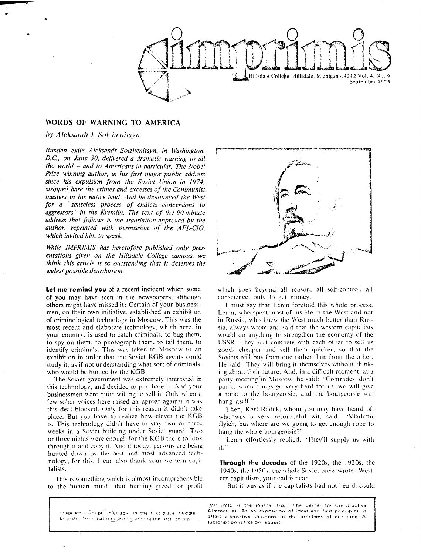

## WORDS OF WARNING TO AMERICA

## *by Aleksandr* I. *Solzhenitsyn*

• ..

*Russian exile Alcksandr Solzhenitsyn, in Washington, D.C., on June 30, delivered a dramatic warning to all the world - and to Americans in particular. The Nobel Prize winning author,* in *his first major public address since his expulsion from the Soviet Union in 1974, stripped bare the crimes and excesses of the Communist masters in his native land. And he denounced the West for a "senseless process of endless concessions to aggressors"* in *the Kremlin. The text of the 90-minute*  address that follows is the translation approved by the *author, reprinted with permission of the AFL-C/0, which invited him to speak.* 

*While IMPRIMIS has heretofore published only presentations given on the Hillsdale College campus, we think this article* is *so outstanding that it desen•es the widest possible distribution.* 

Let me remind you of a recent incident which some of you may have seen in the newspapers. although others might have missed it: Certain of your businessmen, on their own initiative. established an exhibition of criminological technology in Moscow. This was the most recent and elaborate technology, which here, in your country, is used to catch criminals, to bug them. to spy on them, to photograph them, to tail them. to identify criminals. This was taken to Moscow to an exhibition in order that the Soviet KGB agents could study it, as if not understanding what sort of criminals. who would be hunted bv the KGB.

The Soviet government was extremely interested in this technology, and decided to purchase it. And your businessmen were quite willing to sell it. Only when a few sober voices here raised an uproar against it was this deal blocked. Only for this reason it didn't take place. But you have to realize how clever the KGB is. This technology didn't have to stay two or three. weeks in a Soviet building under Soviet guard. Two or three nights were enough for the KGB there to look through it and copy it. And if today, persons are being hunted down by the best and most advanced technology, for this. I can also thank your western capitalists.

This is something which is almost incomprehensible. to the human mind: that burning greed for profit



which goes beyond all reason, all self-control, all conscience, only to get money.

I must say that Lenin foretold this whole process. Lenin, who spent most of his life in the West and not in Russia. who knew the West much better than Russia, always wrote and said that the western capitalists would do anything to strengthen the economy of the USSR. They will compete with each other to sell us goods cheaper and sell them quicker. so that the Soviets will buy from one rather than from the other. He said: They will bring it themselves without thinking about their future. And, in a difficult moment, at a party meeting in Moscow, he said: "Comrades. don't panic, when things go very hard for us, we will give a rope to the bourgeoisie, and the bourgeoisie will hang itself."

Then, Karl Radek. whom you may have heard of. who was a very resourceful wit, said: "Vladimir llyich, but where arc we going to get enough rope to hang the whole bourgeoisie?"

Lenin effortlessly replied, "They'll supply us with it."

Through the decades of the 1920s, the 1930s, the 1940s, the 1950s, the whole Soviet press wrote: Western capitalism, your end is near.

But it was as if the capitalists had not heard. could

| consprising or imprision advised the first place. Middle |  |  |  |  |
|----------------------------------------------------------|--|--|--|--|
| English, from Latin in primis, among the first (things)  |  |  |  |  |

IMPRIMIS is the Journal from The Center for Constructive Alternatives. As an exposition of ideas and first principles, it offers alternative solutions to the pronlems of our time. A subscription is free on request.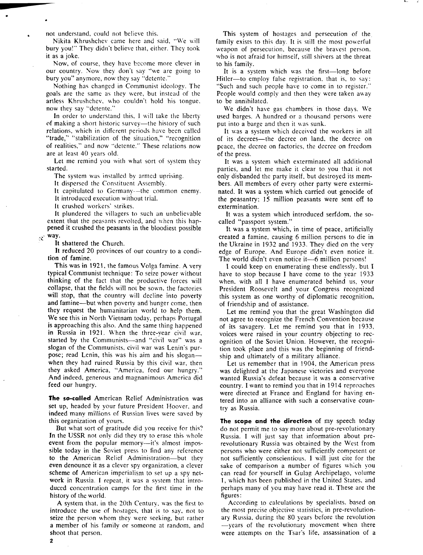not understand, could not believe this.

Nikita Khrushchev came here and said, "We will bury you!" They didn't believe that, either. They took it as a joke.

Now, of course, they have become more clever in our country. Now they don't say "we are going to bury you" anymore, now they say "detente."

Nothing has changed in Communist ideology. The goals are the same as they were, but instead of the artless Khrushchev, who couldn't hold his tongue. now they say ''detente."

In order to understand this. I will take the liberty of making a short historic survey—the history of such relations, which in ditfcrent periods have been called "trade," "stabilization of the situation," "recognition of realities," and now "detente." These relations now are at least 40 years old.

Let me remind you with what sort of system they started.

The system was installed by armed uprising.

It dispersed the Constituent Assembly.

It capitulated to Germany--the common enemy.

It introduced execution without trial.

It crushed workers' strikes.

It plundered the villagers to such an unbelievable extent that the peasants revolted, and when this happened it crushed the peasants in the bloodiest possible : way.

It shattered the Church.

It reduced 20 provinces of our country to a condition of famine.

This was in 1921, the famous Volga famine. A very typical Communist technique: To seize power without thinking of the fact that the productive forces will collapse, that the fields will not be sown. the factories will stop, that the country will decline into poverty and famine-but when poverty and hunger come, then they request the humanitarian world to help them. We see this in North Vietnam today, perhaps Portugal is approaching this also. And the same thing happened in Russia in 1921. When the three-year civil war. started by the Communists-and "civil war" was a slogan of the Communists, civil war was Lenin's purpose; read Lenin, this was his aim and his sloganwhen they had ruined Russia by this civil war, then they asked America, "America, feed our hungry.'' And indeed, generous and magnanimous America djd feed our hungry.

**The so-called** American Relief Administration was set up, headed by your future President Hoover. and indeed many millions of Russian lives were saved by this organization of yours.

But what sort of gratitude did you receive for this? In the USSR not only did they try to erase this whole event from the popular memory-it's almost impossible today in the Soviet press to find any reference to the American Relief Administration-but they even denounce it as a clever spy organization, a clever scheme of American imperialism to set up a spy network in Russia. I repeat, it was a system that introduced concentration camps for the first time in the history of the world.

A system that. in the 20th Century. was the first to introduce the use of hostages, that is to say. not to seize the person whom they were seeking, but rather a member of his family or someone at random. and shoot that person.

This system of hostages and persecution of the. family exists to this day. It is still the most powerful weapon of persecution, because the bravest person. who is not afraid for himself, still shivers at the threat to his familv.

It is a system which was the first—long before Hitler-to employ false registration, that is, to say: "Such and such people have to come in to register." People would comply and then they were taken away to be annihilated.

We didn't have gas chambers in those days. We used barges. A hundred or a thousand persons were put into a barge and then it was sunk.

It was a system which deceived the workers in all of its decrees-the decree on land. the decree on peace, the decree on factories, the decree on freedom of the press.

It was a system which exterminated all additional parties, and let me make it clear to you that it not only disbanded the party itself, but destroyed its members. All members of every other party were exterminated. It was a system which carried out genocide of the peasantry; 15 million peasants were sent off to extermination.

It was a system which introduced serfdom, the socalled "passport system."

It was a system which, in time of peace. artificially created a famine, causing 6 million persons to die in the Ukraine in 1932 and 1933. They died on the very edge of Europe. And Europe didn't even notice it. The world didn't even notice it-6 million persons!

I could keep on enumerating these endlessly. but I have to stop because I have come to the year 1933 when. with all I have enumerated behind us, your President Roosevelt and your Congress recognized this system as one worthy of diplomatic recognition, of friendship and of assistance.

Let me remind you that the great Washington did not agree to recognize the French Convention because of its savagery. Let me remind you that in 1933, voices were raised in your country objecting to recognition of the Soviet Union. However, the recognition took place and this was the beginning of friendship and ultimately of a military alliance.

Let us remember that in 1904. the American press was delighted at the Japanese victories and everyone wanted Russia's defeat because it was a conservative country. I want to remind you that in 1914 reproaches were directed at France and England for having entered into an alliance with such a conservative country as Russia.

**The scope and the direction** of my speech today do not permit me to say more about pre-revolutionary Russia. I will just say that information about prerevolutionary Russia was obtained by the West from persons who were either not sufficiently competent or not sufficiently conscientious. I will just cite for the sake of comparison a number of figures which you can read for yourself in Gulag Archipelago, volume 1, which has been published in the United States. and perhaps many of you may have read it. These arc the figures:

According to calculations by specialists. based on the most precise objective statistics, in pre-revolutionary Russia. during the 80 years before the revolution -years of the revolutionary movement when there were attempts on the Tsar's life, assassination of a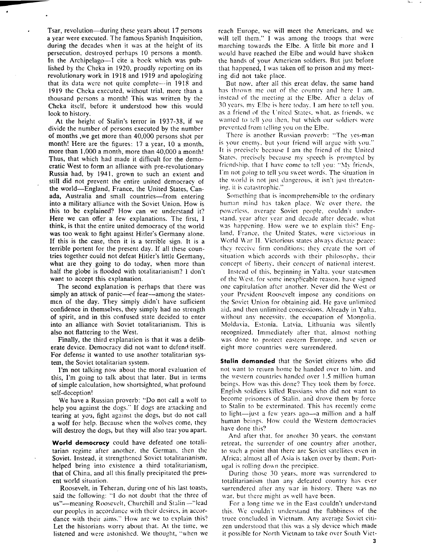Tsar, revolution-during these years about 17 persons a year were executed. The famous Spanish Inquisition, during the decades when it was at the height of its persecution, destroyed perhaps 10 persons a month. In the Archipelago-I cite a book which was published by the Cheka in 1920, proudly reporting on its revolutionary work in 1918 and 1919 and apologizing that its data were not quite complete---in 1918 and 1919 the Chcka executed, without trial, more than a thousand persons a month! This was written by the Chcka itself, before it understood how this would look to history.

At the height of Stalin's terror in 1937-38, if we divide the number of persons executed by the number of months ,we get more than 40,000 persons shot per month! Here are the figures: 17 a year, 10 a month, more than 1,000 a month, more than 40,000 a month! Thus, that which had made it difficult for the democratic West to form an alliance with pre-revolutionary Russia had, by 1941, grown to such an extent and still did not prevent the entire united democracy of the world-England, France, the United States, Canada, Australia and small countries-from entering into a military alliance with the Soviet Union. How is this to be explained? How can we understand it? Here we can offer a few explanations. The first, I think, is that the entire united democracy of the world was too weak to fight against Hitler's Germany alone. If this is the case, then it is a terrible sign. It is a terrible portent for the present day. If all these countries together could not defeat Hitler's little Germany, what are they going to do today, when more than half the globe is flooded with totalitarianism? I don't want to accept this explanation.

The second explanation is perhaps that there was simply an attack of panic---0f fear-among the ~talesmen of the day. They simply didn't have sufficient confidence in themselves, they simply had no strength of spirit, and in this confused state decided to enter into an alliance with Soviet totalitarianism. This is also not flattering to the West.

Finally, the third explanation is that it was a deliberate device. Democracy did not want to defend itself. For defense it wanted to use another totalitarian system, the Soviet totalitarian system.

I'm not talking now about the moral evaluation of this, I'm going to talk about that later. But in terms of simple calculation, how shortsighted, what profound self -deception!

We have a Russian proverb: ''Do not call a wolf to help you against the dogs." If dogs are attacking and tearing at you, fight against the dogs, but do not call a wolf for help. Because when the wolves come, they will destroy the dogs, but they will also tear you apart.

**World democracy** could have defeated one totalitarian regime after another, the German, then the Soviet. Instead, it strengthened Soviet totalitarianism. helped bring into existence a third totalitarianism, that of China, and all this finally precipitated the present world situation.

Roosevelt, in Teheran, during one of his last toasts, said the following: "I do not doubt that the three of us"-meaning Roosevelt, Churchill and Stalin-"lead our peoples in accordance with their desires, in accordance with their aims." How are we to explain this'? Let the historians worry about that. At the time, we listened and were astonished. We thought, "when we reach Europe, we will meet the Americans, and we will tell them." I was among the troops that were marching towards the Elbe. A little bit more and I would have reached the Elbe and would have shaken the hands of your American soldiers. But just before that happened, I was taken off to prison and my meeting did not take place.

But now, after ail this great delay, the same hand has thrown me out of the country and here I am. instead of the meeting at the Elbc. After a dclav of 30 years. m\ Elb~ is here today. l am here to tell you. as a friend of the United States, what, as friends, we wanted to tell you then, but which our soldiers were prevented from telling you on the Elbe.

There is another Russian proverb: "The ves-man is your enemy, but your friend will argue with you." It is precisely because I am the friend of the United States, precisely because my speech is prompted by friendship, that I have come to tell you: "My friends, I'm not going to tell you sweet words. The situation in the world is not just dangerous, it isn't just threatening. it is catastrophic."

Something that is incomprehensible to the ordinary human mind has taken place. We over there, the powerless, average Soviet people, couldn't understand, year after year and decade after decade, what was happening. How were we to explain this? England, France. the United States, were victorious in World War II. Victorious states always dictate peace; they receive firm conditions; they create the sort of situation which accords with their philosophv. their concept of liberty. their concept of national interest.

Instead of this. beginning in Yalta. your statesmen of the West, for some inexplicable reason, have signed one capitulation after another. Never did the West or your President Roosevelt impose any conditions on the Soviet Union for obtaining aid. He gave unlimited aid. and then unlimited concessions. Already in Yalta. without any necessity, the occupation of Mongolia. Moldavia. Estonia. Latvia. Lithuania was silently recognized. Immediately after that. almost nothing was done to protect eastern Europe, and seven or eight more countries were surrendered.

**Stalin demanded** that the Soviet citizens who did not want to return home be handed over to him, and the western countries handed over 1.5 million human beings. How was this done? They took them by force. English soldiers killed Russians who did not want to become prisoners of Stalin. and drove them by force to Stalin to be exterminated. This has recently come to light-just a few years ago-a million and a half human beings. How could the Western democracies have done this?

And after that. for another 30 years. the constant retreat, the surrender of one country after another, to such a point that there arc Soviet satellites even in Africa: almost all of Asia is taken over by them: Portugal is rolling down the precipice.

During those 30 years, more was surrendered to totalitarianism than any defeated country has ever surrendered after any war in history. There was no war. but there might as well have been.

For a long time we in the East couldn't understand this. \\'e couldn "t understand the flabbiness of the truce concluded in Vietnam. Any average Soviet citizen understood that this was a sly device which made it possible for North Vietnam to take over South Viet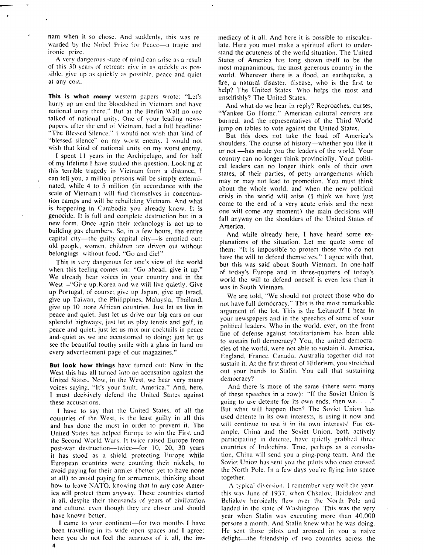nam when it so chose. And suddenly, this was rewarded by the Nobel Prize for Peace-a tragic and ironic prize.

A very dangerous state of mind can arise as a result of this 30 years of retreat: give in as quickly as possihle. give up as quickly as possihlc. peace and quiet at any cost.

**This is what many** western papers wrote: "Let's hurry up an end the bloodshed in Vietnam and have national unity there." But at the Berlin Wall no one talked of national unity. One of your leading newspapers. after the end of Vietnam. had a full headline: "The Blessed Silence." I would not wish that kind of "blessed silence" on my worst enemy. I would not wish that kind of national unity on my worst enemy.

I spent II years in the Archipelago, and for half of my lifetime I have studied this question. Looking at this terrible tragedy in Vietnam from a distance, I can tell you, a million persons will be simply exterminated, while 4 to 5 million (in accordance with the scale of Vietnam) will find themselves in concentration camps and will be rebuilding Vietnam. And what is happening in Cambodia you already know. It is genocide. It is full and complete destruction but in a new form. Once again their technology is not up to building gas chambers. So, in a few hours, the entire capital city—the guilty capital city—is emptied out: old peopk, women. children are driven out without belongings without food. "Go and die!"

This is very dangerous for one's view of the world when this teeling comes on: "Go ahead, give it up." We alread) hear voices in your country and in the West-"Give up Korea and we will live quietly. Give up Portugal, of course; give up Japan, give up Israel, give up Taiwan, the Philippines, Malaysia, Thailand, give up 10 .norc African countries. Just let us live in peace and quiet. Just let us drive our big cars on our splendid highways; just let us play tennis and golf, in peace and quiet; just let us mix om cocktails in peace and· quiet as we are accustomed to doing; just let us sec the beautiful toothy smile with a glass in hand on every advertisement page of our magazines."

But look how things have turned out: Now in the West this has all turned into an accusation against the United States. Now, in the West. we hear very many voices saying. "It's your fault, America." And, here, I must decisively defend the United States against these accusations.

I have to say that the United States. of all the countries of the West, is the least guilty in all this and has done the most in order to prevent it. The United 5tatcs has helped Europe to win the First and the Second World Wars. It twice raised Europe from post-war destruction--twice-for  $10$ ,  $20$ ,  $30$  years it has stood as a shield protecting Europe while European countries were counting their nickels, to avoid paying for their armies (better yet to have none at all) to avoid paying for armaments. thinking about how to leave NATO, knowing that in any case America will protect them anyway. These countries started it all. despite their thousands of years of civilization and culture. even though they are closer and should have known better.

I came to your continent-for two months I have been travelling in its wide open spaces and I agree: here you do not feel the nearness of it all, the im-4

mediacy of it all. And here it is possible to miscalculate. Here you must make a spiritual effort to understand the acuteness of the world situation. The United States of America has long shown itself to be the most magnanimous, the most generous country in the world. Wherever there is a flood. an earthquake, a fire, a natural disaster. disease, who is the first to help? The United States. Who helps the most and unselfishly? The United States.

And what do we hear in reply? Reproaches, curses, "Yankee Go Home." American cultural centers are burned, and the representatives of the Third World jump on tables to vote against the United States.

But this does not take the load off America's shoulders. The course of history-whether you like it or not --has made you the leaders of the world. Your country can no longer think provincially. Your political leaders can no longer think only of their own states, of their parties, of petty arrangements which may or may not lead to promotion. You must think about the whole world. and when the new political crisis in the world will arise (I think we have just come to the end of a very acute crisis and the next one will come any moment) the main decisions will fall anyway on the shoulders of the United States of America.

And while already here, l have heard some explanations of the situation. Let me quote some of them: "It is impossible to protect those who do not have the will to defend themselves." I agree with that, but this was said about South Vietnam. In one-half of today's Europe and in three-quarters of today's world the will to defend oneself is even less than it was in South Vietnam.

We are told, "We should not protect those who do not have full democracy." This is the most remarkable argument of the lot. This is the Leitmotif I hear in your newspapers and in the speeches of some of your political leaders. Who in the world. ever, on the front line of defense against totalitarianism has been able to sustain full democracy? You, the united democracies of the world, were not able to sustain it. America, England, France. Canada. Australia together did not sustain it. At the first threat of Hitlerism. you stretched out your hands to Stalin. You call that sustaining democracy?

And there is more of the same (there were many of these speeches in a row): "If the Soviet Union is going to use detente for its own ends, then we.  $\ldots$ ." But what will happen then? The Soviet Union has used detente in its own interests, is using it now and will continue to use it in its own interests! For example, China and the Soviet Union. both actively participating in detente. have quietly grabbed three countries of Indochina. True, perhaps as a consolation, China will send you a ping-pong team. And the Soviet Union has sent you the pilots who once crossed the North Pole. In a few days you're flying into space together.

A typical diversion. I rememher very well the year. this was June of 1937, when Chkalov, Baidukov and Beliakov heroically flew over the North Pole and landed in the state of Washington. This was the very year when Stalin was executing more than 40.000 persons a month. And Stalin knew what he was doing. He sent those pilots and aroused in you a naive delight-the friendship of two countries across the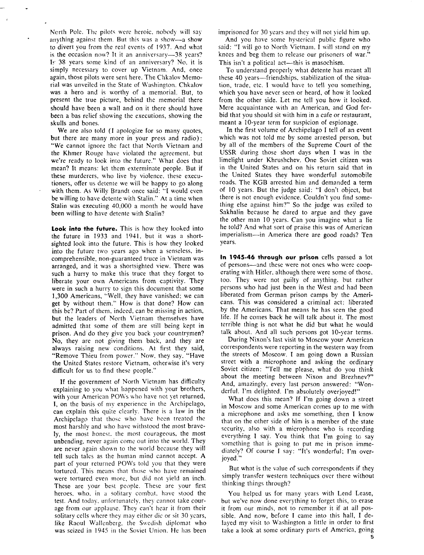North Pole. The pilots were heroic, nobody will say anything against them. But this was a show-a show to divert you from the real events of 1937. And what is the occasion now? It it an anniversary-38 years? Is 38 years some kind of an anniversary? No, it is simply necessary to cover up Vietnam. And, once again, those pilots were sent here. The Chkalov Memorial was unveiled in the State of Washington. Chkalov was a hero and is worthy of a memorial. But, to present the true picture, behind the memorial there should have been a wall and on it there should have been a bas relief showing the executions, showing the skulls and bones.

We are also told (I apologize for so many quotes, but there are many more in your press and radio): "We cannot ignore the fact that North Vietnam and the Khmer Rouge have violated the agreement. but we're ready to look into the future." What does that mean? It means: let them exterminate people. But if these murderers, who live by violence, these executioners, offer us detente we will be happy to go along with them. As Willy Brandt once said: ''I would even be willing to have detente with Stalin." At a time when Stalin was executing 40,000 a month he would have been willing to have detente with Stalin?

**Look into the future.** This is how they looked into the future in 1933 and 1941. but it was a shortsighted look into the future. This is how they looked into the future two years ago when a senseless, incomprehensible, non-guaranteed truce in Vietnam was arranged, and it was a shortsighted view. There was such a hurry to make this truce that they forgot to liberate your own Americans from captivity. They were in such a hurry to sign this document that some 1,300 Americans, "Well, they have vanished; we can get by without them." How is that done? How can this be? Part of them, indeed, can be missing in action, but the leaders of North Vietnam themselves have admitted that some of them are still being kept in prison. And do they give you back your countrymen? No, they are not giving them back, and they are always raising new conditions. At first they said, "Remove Thieu from power." Now, they say. "Have the United States restore Vietnam, otherwise it's very difficult for us to find these people."

If the government of North Vietnam has difficulty explaining to you what happened with your brothers, with your American POWs who have not yet returned, I, on the basis of my experience in the Archipelago, can explain this quite clearly. There is a Jaw in the Archipelago that those who have been treated the most harshly and who have withstood the most bravely, the most honest. the most courageous. the most unbending, never again come out into the world. They are never again shown to the world because they will tell such tales as the human mind cannot accept. A part of your returned POWs told you that they were tortured. This means that those who have remained were tortured even more, but did not yield an inch. These are your best people. These are your first heroes, who, in a solitary combat. have stood the test. And today. unfortunately. they cannot take courage from our applause. They can't hear it from their solitary cells where they may either die or sit 30 years, like Raoul Wallenberg, the Swedish diplomat who was seized in 1945 in the Soviet Union. He has been imprisoned for 30 years and they will not yield him up.

And you have some hysterical public figure who said: "I will go to North Vietnam. I will stand on my knees and beg them to release our prisoners of war." This isn't a political act-this is masochism.

To understand properly what detente has meant all these 40 years—friendships, stabilization of the situation, trade. etc. I would have to tell you something, which you have never seen or heard, of how it looked from the other side. Let me tell you how it looked. Mere acquaintance with an American, and God forbid that you should sit with him in a cafe or restaurant, meant a 10-year term for suspicion of espionage.

In the first volume of Archipelago I tell of an event which was not told me by some arrested person, but by all of the members of the Supreme Court of the USSR during those short days when I was in the limelight under Khrushchev. One Soviet citizen was in the United States and on his return said that in the United States they have wonderful automobile roads. The KGB arrested him and demanded a term of 10 years. But the judge said: "I don't object, but there is not enough evidence. Couldn't you find something else against him?" So the judge was exiled to Sakhalin because he dared to argue and they gave the other man 10 years. Can you imagine what a lie he told? And what sort of praise this was of American imperialism-in America there are good roads? Ten years.

**In 1945-46 through our prison** cells passed a lot of persons-and these were not ones who were cooperating with Hitler, although there were some of those, too. They were not guilty of anything. but rather persons who had just been in the West and had been liberated from German prison camps by the Americans. This was considered a criminal act: liberated by the Americans. That means he has seen the good life. If he comes back he will talk about it. The most terrible thing is not what he did but what he would talk about. And all such persons got 10-year terms.

During Nixon's last visit to Moscow your American correspondents were reporting in the western way from the streets of Moscow. I am going down a Russian street with a microphone and asking the ordinary Soviet citizen: "Tell me please, what do you think about the meeting between Nixon and Brezhnev?" And, amazingly, every last person answered: "Wonderful. I'm deiighted. I'm absolutely overjoyed!"

What does this mean? If I'm going down a street in Moscow and some American comes up to me with a microphone and asks me something, then I know that on the other side of him is a member of the state security, also with a microphone who is recording everything I say. You think that I'm going to say something that is going to put me in prison immediately? Of course l say: "It's wonderful; I'm overjoyed."

But what is the value of such correspondents if they simply transfer western techniques over there without thinking things through?

You helped us for many years with Lend Lease, but we've now done everything to forget this, to erase it from our minds, not to remember it if at ail possible. And now, before I came into this hall, I delayed my visit to Washington a little in order to first take a look at some ordinary parts of America, going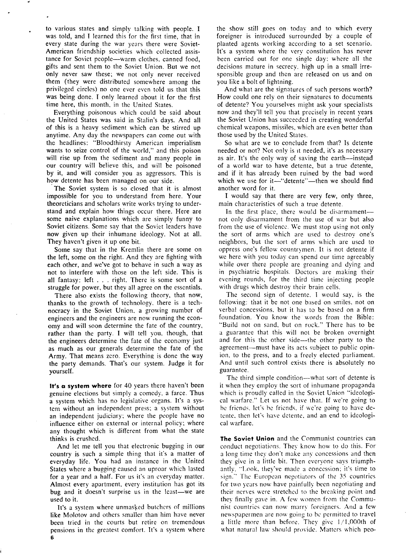to various states and simply talking with people. I was told, and I learned this for the first time, that in every state during the war years there were Soviet-American friendship societies which collected assistance for Soviet people--warm clothes, canned food, gifts and sent them to the Soviet Union. But we not only never saw these; we not only never received them (they were distributed somewhere among the privileged circles) no one ever even told us that this was being done. I only learned about it for the first time here, this month, in the United States.

Everything poisonous which could be said about the United States was said in Stalin's days. And all of this is a heavy sediment which can be stirred up anytime. Any day the newspapers can come out with the headlines: "Bloodthirsty American imperialism wants to seize control of the world," and this poison will rise up from the sediment and many people in our country will believe this, and will be poisoned by it, and will consider you as aggressors. This is how detente has been managed on our side.

The Soviet system is so closed that it is almost impossible for you to understand from here. Your theoreticians and scholars write works trying to understand and explain how things occur there. Here are some naive explanations which are simply funny to Soviet citizens. Some say that the Soviet leaders have now given up their inhumane ideology. Not at all. They haven't given it up one bit.

Some say that in the Kremlin there are some on the left, some on the right. And they are fighting with each other, and we've got to behave in such a way as not to interfere with those on the left side. This is all fantasy: left . . . right. There is some sort of a struggle for power, but they all agree on the essentials.

There also exists the following theory, that now, thanks to the growth of technology. there is a technocracy in the Soviet Union, a growing number of engineers and the engineers are now running the economy and will soon determine the fate of the country, rather than the party. I will tell you. though, that the engineers determine the fate of the economy just as much as our generals determine the fate of the Army. That means zero. Everything is done the way the party demands. That's our system. Judge it for yourself.

**It's a system where** for 40 years there haven't been genuine elections but simply a comedy. a farce. Thus a system which has no legislative organs. It's a system without an independent press; a system without an independent judiciary; where the people have no influence either on external or internal policy; where any thought which is different from what the state thinks is crushed.

And let me tell you that electronic bugging in our country is such a simple thing that it's a matter of everyday life. You had an instance in the United States where a bugging caused an uproar which lasted for a year and a half. For us it's an everyday matter. Almost every apartment, every institution has got its bug and it doesn't surprise us in the least-we are used to it.

It's a system where unmasked butchers of millions like Molotov and others smaller than him have never been tried in the courts but retire on tremendous pensions in the greatest comfort. It's a system where 6

the show still goes on today and to which every foreigner is introduced surrounded by a couple of planted agents working according to a set scenario. It's a system where the very constitution has never been carried out for one single day: where all the decisions mature in secrecy. high up in a small irresponsible group and then are released on us and on you like a bolt of lightning.

And what are the signatures of such persons worth? How could one rely on their signatures to documents of detente? You yourselves might ask your specialists now and they'll tell you that precisely in recent years the Soviet Union has succeeded in creating wonderful chemical weapons, missiles, which are even better than those used by the United States.

So what are we to conclude from that? Is detente needed or not? Not only is it needed, it's as necessary as air. It's the onlv way of saving the earth-instead of a world war to have detente, but a true detente, and if it has already been ruined by the bad word which we use for it-"detente"-then we should find another word for it.

I would say that there are very few, only three, main characteristics of such a true detente.

In the first place, there would be disarmamentnot only disarmament from the use of war but also from the use of violence. We must stop using not only the sort of arms which are used to destroy one's neighbors, but the sort of arms which are used to oppress one's fellow countrymen. It is not detente if we here with you today can spend our time agreeably while over there people are groaning and dying and in psychiatric hospitals. Doctors are making their evening rounds, for the third time injecting people with drugs which destroy their brain cells.

The second sign of detente. I would say. is the following: that it be not one based on smiles, not on verbal concessions. but it has to be based on a firm foundation. You know the words from the Bible: "Build not on sand, but on rock." There has to be a guarantee that this will not be broken overnight and for this the other side—the other party to the agreement--must have its acts subject to public opinion. to the press, and to a freely elected parliament. And until such control exists there is absolutely no guarantee.

The third simple condition-what sort of detente is it when they employ the sort of inhumane propaganda which is proudly called in the Soviet Union "ideological warfare." Let us not have that. If we're going to he friends, let's he friends, if we're going to have detente, then let's have detente, and an end to ideological warfare.

**The Soviet Union** and the Communist countries can conduct negotiations. They know how to do this. For a long time they don't make any concessions and then they give in a little bit. Then everyone says triumphantly. "Look, they've made a concession; it's time to sign." The European negotiators of the 35 countries for two years now have painfully been negotiating and their nerves were stretched to the breaking point and they finally gave in. A few women from the Communist countries can now marry foreigners. And a few newspapermen are now going to be permitted to travel a little more than before. They give  $1/1,000$ th of what natural law should provide. Matters which peo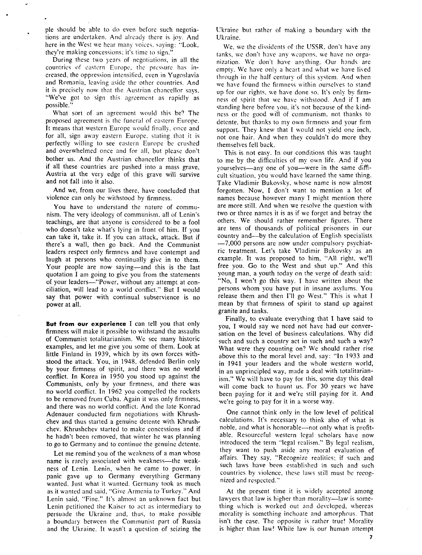pie should be able to do even before such negotiations are undertaken. And already there is joy. And here in the West we hear many voices, saying: "Look, they're making concessions; it's time to sign.'

During these two years of negotiations, in all the countries of eastern Europe, the pressure has increased. the oppression intensified, even in Yugoslavia and Romania, leaving aside the other countries. And it is precisely now that the Austrian chancellor says. "We've got to sign this agreement as rapidly as possible."

What sort of an agreement would this be? The proposed agreement is the funeral of eastern Europe. It means that western Europe would finally. once and for all, sign away eastern Europe. stating that it is perfectly willing to see eastern Europe be crushed and overwhelmed once and for all, but please don't bother us. And the Austrian chancellor thinks that if all these countries are pushed into a mass grave, Austria at the very edge of this grave will survive and not fall into it also.

And we, from our lives there, have concluded that violence can only be withstood by firmness.

You have to understand the nature of communism. The very ideology of communism. all of Lenin's teachings, are that anyone is considered to be a fool who doesn't take what's lying in front of him. If you can take it, take it. If you can attack, attack. But if there's a wall, then go back. And the Communist leaders respect only firmness and have contempt and laugh at persons who continually give in to them. Your people are now saying-and this is the last quotation I am going to give you from the statements of your leaders-"Power, without any attempt at conciliation, will lead to a world conflict." But I would say that power with continual subservience is no power at all.

**But from our experience** I can tell you that only firmness will make it possible to withstand the assaults of Communist totalitarianism. We see many historic examples, and let me give you some of them. Look at little Finland in 1939, which by its own forces withstood the attack. You, in 1948. defended Berlin only by your firmness of spirit, and there was no world conflict. In Korea in 1950 you stood up against the Communists, only by your firmness, and there was no world conflict. In 1962 you compelled the rockets to be removed from Cuba. Again it was only firmness, and there was no world conflict. And the late Konrad Adenauer conducted firm negotiations with Khrushchev and thus started a genuine detente with Khrushchev. Khrushchev started to make concessions and if he hadn't been removed, that winter he was planning to go to Germany and to continue the genuine detente.

Let me remind you of the weakness of a man whose name is rarely associated with weakness—the weakness of Lenin. Lenin, when he came to power, in panic gave up to Germany everything Germany wanted. Just what it wanted. Germany took as much as it wanted and said, "Give Armenia to Turkey." And Lenin said, "Fine." It's almost an unknown fact but Lenin petitioned the Kaiser to act as intermediary to persuade the Ukraine and. thus, to make possible a boundary between the Communist part of Russia and the Ukraine. It wasn't a question of seizing the Ckraine but rather of making a boundary with the Ukraine.

We. we the dissidents of the USSR. don't have any tanks, we don't have any weapons. we have no organization. We don't have anything. Our hands are empty. We have only a heart and what we have lived through in the half century of this system. And when we have found the firmness within ourselves to stand up for our rights, we have done so. It's only by firmness of spirit that we have withstood. And if I am standing here before you. it's not because of the kindness or the good will of communism. not thanks to detente, but thanks to my own firmness and your firm support. They knew that I would not yield one inch, not one hair. And when they couldn't do more they themselves fell back.

This is not easy. In our conditions this was taught to me by the difficulties of my own life. And if you yourselves-any one of you-were in the same difficult situation, you would have learned the same thing. Take Vladimir Bukovsky. whose name is now almost forgotten. Now, I don't want to mention a lot of names because however many I might mention there are more still. And when we resolve the question with two or three names it is as if we forget and betray the others. We should rather remember figures. There are tens of thousands of political prisoners in our country and-by the calculation of English specialists  $-7,000$  persons are now under compulsory psychiatric treatment. Let's take Vladimir Bukovsky as an example. It was proposed to him. "All right. we'll free you. Go to the West and shut up." And this young man, a youth today on the verge of death said: "No, I won't go this way. I have written about the persons whom you have put in insane asylums. You release them and then I'll go West." This is what I mean by that firmness of spirit to stand up against granite and tanks.

Finally, to evaluate everything that I have said to you, I would say we need not have had our conversation on the level of business calculations. Why did such and such a country act in such and such a way? What were they counting on? We should rather rise above this to the moral level and. say: "In 1933 and in 1941 your leaders and the whole western world, in an unprincipled way, made a deal with totalitarianism." We will have to pay for this. some day this deal will come back to haunt us. For 30 years we have been paying for it and we're still paying for it. And we're going to pay for it in a worse way.

One cannot think only in the low level of political calculations. It's necessary to think also of what is noble, and what is honorable-not only what is profitable. Resourceful western legal scholars have now introduced the term "legal realism." By legal realism, they want to push aside any moral evaluation of affairs. They say. "Recognize realities: if such and such laws have been established in such and such countries by violence, these laws still must be recognized and respected."

At the present time it is widely accepted among lawyers that law is higher than morality—law is something which is worked out and developed. whereas morality is something inchoate and amorphous. That isn't the case. The opposite is rather true' Morality is higher than law! Whiie law is our human attempt